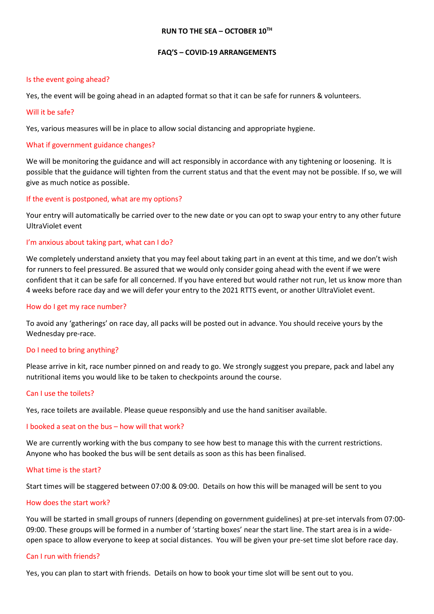#### **RUN TO THE SEA – OCTOBER 10TH**

#### **FAQ'S – COVID-19 ARRANGEMENTS**

#### Is the event going ahead?

Yes, the event will be going ahead in an adapted format so that it can be safe for runners & volunteers.

#### Will it be safe?

Yes, various measures will be in place to allow social distancing and appropriate hygiene.

# What if government guidance changes?

We will be monitoring the guidance and will act responsibly in accordance with any tightening or loosening. It is possible that the guidance will tighten from the current status and that the event may not be possible. If so, we will give as much notice as possible.

# If the event is postponed, what are my options?

Your entry will automatically be carried over to the new date or you can opt to swap your entry to any other future UltraViolet event

# I'm anxious about taking part, what can I do?

We completely understand anxiety that you may feel about taking part in an event at this time, and we don't wish for runners to feel pressured. Be assured that we would only consider going ahead with the event if we were confident that it can be safe for all concerned. If you have entered but would rather not run, let us know more than 4 weeks before race day and we will defer your entry to the 2021 RTTS event, or another UltraViolet event.

### How do I get my race number?

To avoid any 'gatherings' on race day, all packs will be posted out in advance. You should receive yours by the Wednesday pre-race.

# Do I need to bring anything?

Please arrive in kit, race number pinned on and ready to go. We strongly suggest you prepare, pack and label any nutritional items you would like to be taken to checkpoints around the course.

#### Can I use the toilets?

Yes, race toilets are available. Please queue responsibly and use the hand sanitiser available.

# I booked a seat on the bus – how will that work?

We are currently working with the bus company to see how best to manage this with the current restrictions. Anyone who has booked the bus will be sent details as soon as this has been finalised.

#### What time is the start?

Start times will be staggered between 07:00 & 09:00. Details on how this will be managed will be sent to you

#### How does the start work?

You will be started in small groups of runners (depending on government guidelines) at pre-set intervals from 07:00- 09:00. These groups will be formed in a number of 'starting boxes' near the start line. The start area is in a wideopen space to allow everyone to keep at social distances. You will be given your pre-set time slot before race day.

# Can I run with friends?

Yes, you can plan to start with friends. Details on how to book your time slot will be sent out to you.